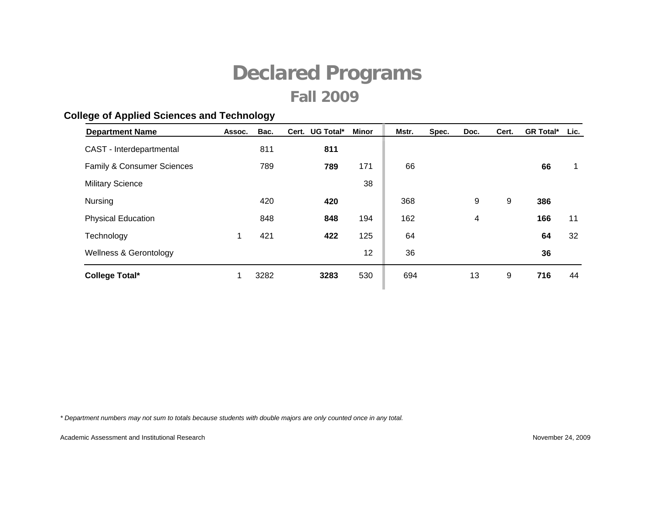#### **College of Applied Sciences and Technology**

| Assoc. | Bac. | UG Total* | <b>Minor</b> | Mstr. | Spec. | Doc. | Cert. | <b>GR Total*</b> | Lic. |
|--------|------|-----------|--------------|-------|-------|------|-------|------------------|------|
|        | 811  | 811       |              |       |       |      |       |                  |      |
|        | 789  | 789       | 171          | 66    |       |      |       | 66               |      |
|        |      |           | 38           |       |       |      |       |                  |      |
|        | 420  | 420       |              | 368   |       | 9    | 9     | 386              |      |
|        | 848  | 848       | 194          | 162   |       | 4    |       | 166              | 11   |
| 1      | 421  | 422       | 125          | 64    |       |      |       | 64               | 32   |
|        |      |           | 12           | 36    |       |      |       | 36               |      |
|        | 3282 | 3283      | 530          | 694   |       | 13   | 9     | 716              | 44   |
|        |      |           | Cert.        |       |       |      |       |                  |      |

*\* Department numbers may not sum to totals because students with double majors are only counted once in any total.*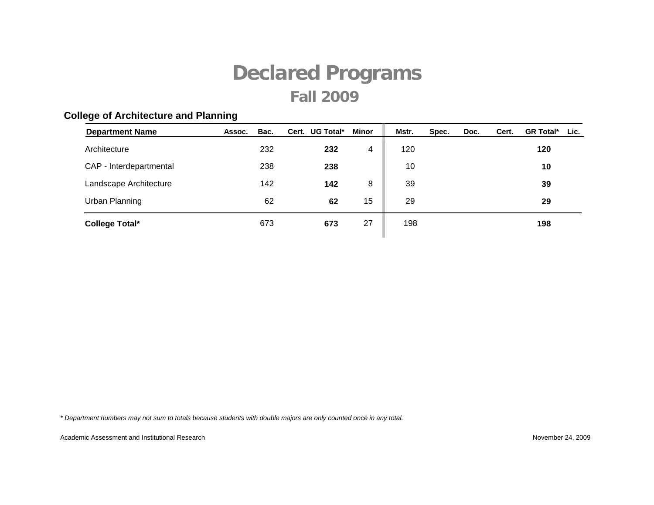### **Department Name Assoc. Bac. UG Total\* Minor Mstr. Spec. Doc. Lic. GR Total\* Cert. Cert.** Architecture 232 **232** 4 120 **120** CAP - Interdepartmental 238 **238** 10 **10 Landscape Architecture 142 142 142 142 142 39 39** Urban Planning 62 **62** 15 29 **29 College Total\*** 673 **673** 27 198 **198**

#### **College of Architecture and Planning**

*\* Department numbers may not sum to totals because students with double majors are only counted once in any total.*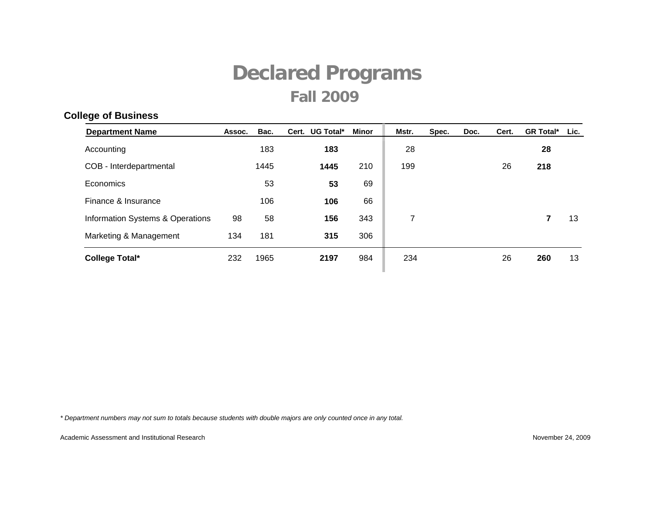#### **Department Name Assoc. Bac. UG Total\* Minor Mstr. Spec. Doc. Lic. GR Total\* Cert. Cert.** Accounting 183 **183** 28 **28** COB - Interdepartmental 1445 **1445** 210 199 26 **218** Economics 53 **53** 69 Finance & Insurance 106 **106** 66 Information Systems & Operations 98 58 **156** 343 7 **7** 13 Marketing & Management 134 181 **315** 306 **College Total\*** 232 1965 2197 984 234 26 26 260 13

**College of Business**

*\* Department numbers may not sum to totals because students with double majors are only counted once in any total.*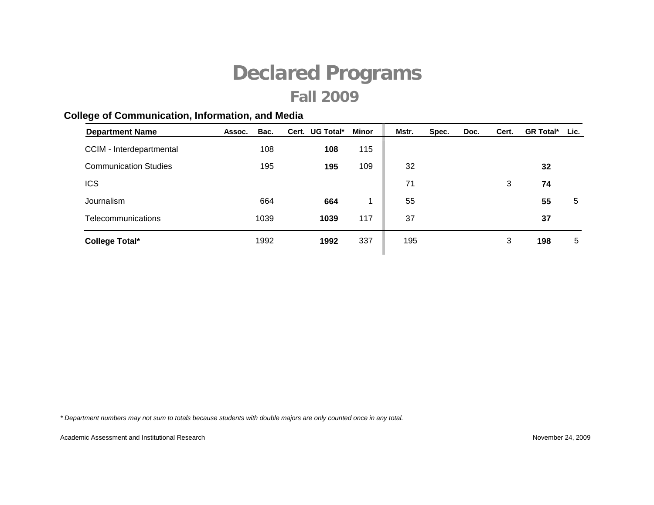### **College of Communication, Information, and Media**

| <b>Department Name</b>       | Assoc. | Bac. | Cert. UG Total* | <b>Minor</b> | Mstr. | Spec. | Doc. | Cert. | <b>GR Total*</b> | Lic.            |
|------------------------------|--------|------|-----------------|--------------|-------|-------|------|-------|------------------|-----------------|
| CCIM - Interdepartmental     |        | 108  | 108             | 115          |       |       |      |       |                  |                 |
| <b>Communication Studies</b> |        | 195  | 195             | 109          | 32    |       |      |       | 32               |                 |
| <b>ICS</b>                   |        |      |                 |              | 71    |       |      | 3     | 74               |                 |
| Journalism                   |        | 664  | 664             | 1            | 55    |       |      |       | 55               | 5               |
| Telecommunications           |        | 1039 | 1039            | 117          | 37    |       |      |       | 37               |                 |
| <b>College Total*</b>        |        | 1992 | 1992            | 337          | 195   |       |      | 3     | 198              | $5\phantom{.0}$ |

*\* Department numbers may not sum to totals because students with double majors are only counted once in any total.*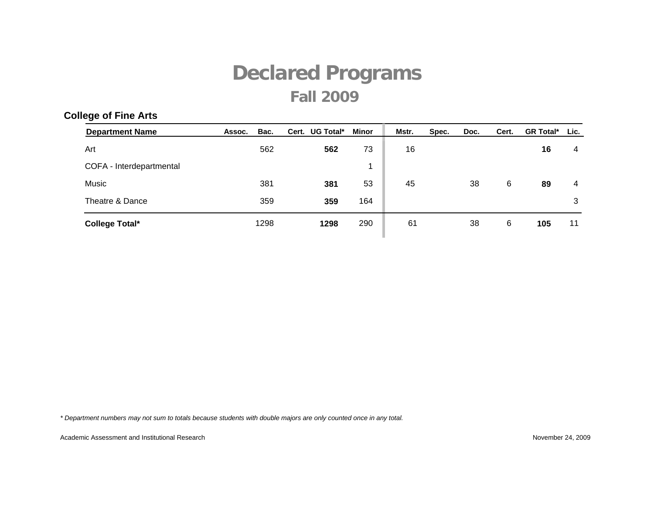| $\tilde{\phantom{a}}$    |        |      |       |           |              |       |       |      |       |                  |      |
|--------------------------|--------|------|-------|-----------|--------------|-------|-------|------|-------|------------------|------|
| <b>Department Name</b>   | Assoc. | Bac. | Cert. | UG Total* | <b>Minor</b> | Mstr. | Spec. | Doc. | Cert. | <b>GR Total*</b> | Lic. |
| Art                      |        | 562  |       | 562       | 73           | 16    |       |      |       | 16               | 4    |
| COFA - Interdepartmental |        |      |       |           | 1            |       |       |      |       |                  |      |
| Music                    |        | 381  |       | 381       | 53           | 45    |       | 38   | 6     | 89               | 4    |
| Theatre & Dance          |        | 359  |       | 359       | 164          |       |       |      |       |                  | 3    |
| <b>College Total*</b>    |        | 1298 |       | 1298      | 290          | 61    |       | 38   | 6     | 105              | 11   |
|                          |        |      |       |           |              |       |       |      |       |                  |      |

#### **College of Fine Arts**

*\* Department numbers may not sum to totals because students with double majors are only counted once in any total.*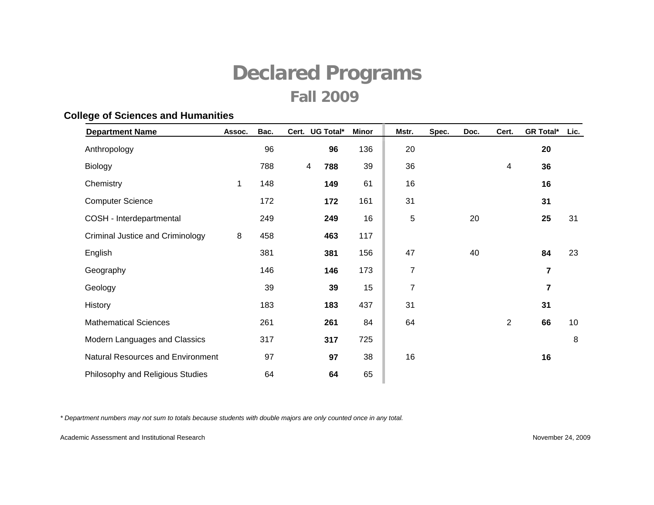#### **College of Sciences and Humanities**

| <b>Department Name</b>            | Assoc. | Bac. |   | Cert. UG Total* | <b>Minor</b> | Mstr.          | Spec. | Doc. | Cert.          | <b>GR Total*</b> | Lic.            |
|-----------------------------------|--------|------|---|-----------------|--------------|----------------|-------|------|----------------|------------------|-----------------|
| Anthropology                      |        | 96   |   | 96              | 136          | 20             |       |      |                | 20               |                 |
| Biology                           |        | 788  | 4 | 788             | 39           | 36             |       |      | 4              | 36               |                 |
| Chemistry                         | 1      | 148  |   | 149             | 61           | 16             |       |      |                | 16               |                 |
| <b>Computer Science</b>           |        | 172  |   | 172             | 161          | 31             |       |      |                | 31               |                 |
| COSH - Interdepartmental          |        | 249  |   | 249             | 16           | 5              |       | 20   |                | 25               | 31              |
| Criminal Justice and Criminology  | 8      | 458  |   | 463             | 117          |                |       |      |                |                  |                 |
| English                           |        | 381  |   | 381             | 156          | 47             |       | 40   |                | 84               | 23              |
| Geography                         |        | 146  |   | 146             | 173          | $\overline{7}$ |       |      |                | 7                |                 |
| Geology                           |        | 39   |   | 39              | 15           | $\overline{7}$ |       |      |                | 7                |                 |
| History                           |        | 183  |   | 183             | 437          | 31             |       |      |                | 31               |                 |
| <b>Mathematical Sciences</b>      |        | 261  |   | 261             | 84           | 64             |       |      | $\overline{2}$ | 66               | 10 <sup>°</sup> |
| Modern Languages and Classics     |        | 317  |   | 317             | 725          |                |       |      |                |                  | 8               |
| Natural Resources and Environment |        | 97   |   | 97              | 38           | 16             |       |      |                | 16               |                 |
| Philosophy and Religious Studies  |        | 64   |   | 64              | 65           |                |       |      |                |                  |                 |

*\* Department numbers may not sum to totals because students with double majors are only counted once in any total.*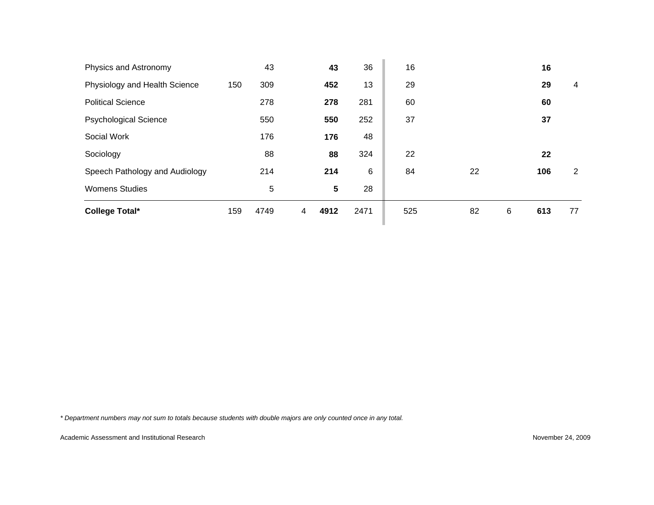| <b>College Total*</b>          | 159 | 4749 | 4 | 4912            | 2471 | 525 | 82 | 6 | 613 | 77 |
|--------------------------------|-----|------|---|-----------------|------|-----|----|---|-----|----|
| <b>Womens Studies</b>          |     | 5    |   | $5\phantom{.0}$ | 28   |     |    |   |     |    |
| Speech Pathology and Audiology |     | 214  |   | 214             | 6    | 84  | 22 |   | 106 | 2  |
| Sociology                      |     | 88   |   | 88              | 324  | 22  |    |   | 22  |    |
| Social Work                    |     | 176  |   | 176             | 48   |     |    |   |     |    |
| <b>Psychological Science</b>   |     | 550  |   | 550             | 252  | 37  |    |   | 37  |    |
| <b>Political Science</b>       |     | 278  |   | 278             | 281  | 60  |    |   | 60  |    |
| Physiology and Health Science  | 150 | 309  |   | 452             | 13   | 29  |    |   | 29  | 4  |
| Physics and Astronomy          |     | 43   |   | 43              | 36   | 16  |    |   | 16  |    |
|                                |     |      |   |                 |      |     |    |   |     |    |

*\* Department numbers may not sum to totals because students with double majors are only counted once in any total.*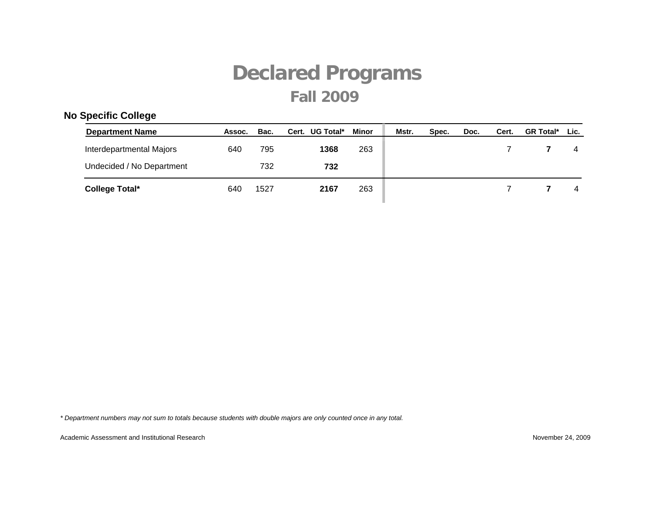#### **No Specific College**

| <b>Department Name</b>    | Assoc. | Bac. | Cert. UG Total* | Minor | Mstr. | Spec. | Doc. | Cert. | <b>GR Total*</b> | Lic. |
|---------------------------|--------|------|-----------------|-------|-------|-------|------|-------|------------------|------|
| Interdepartmental Majors  | 640    | 795  | 1368            | 263   |       |       |      |       |                  | 4    |
| Undecided / No Department |        | 732  | 732             |       |       |       |      |       |                  |      |
| <b>College Total*</b>     | 640    | 1527 | 2167            | 263   |       |       |      |       |                  | 4    |

*\* Department numbers may not sum to totals because students with double majors are only counted once in any total.*